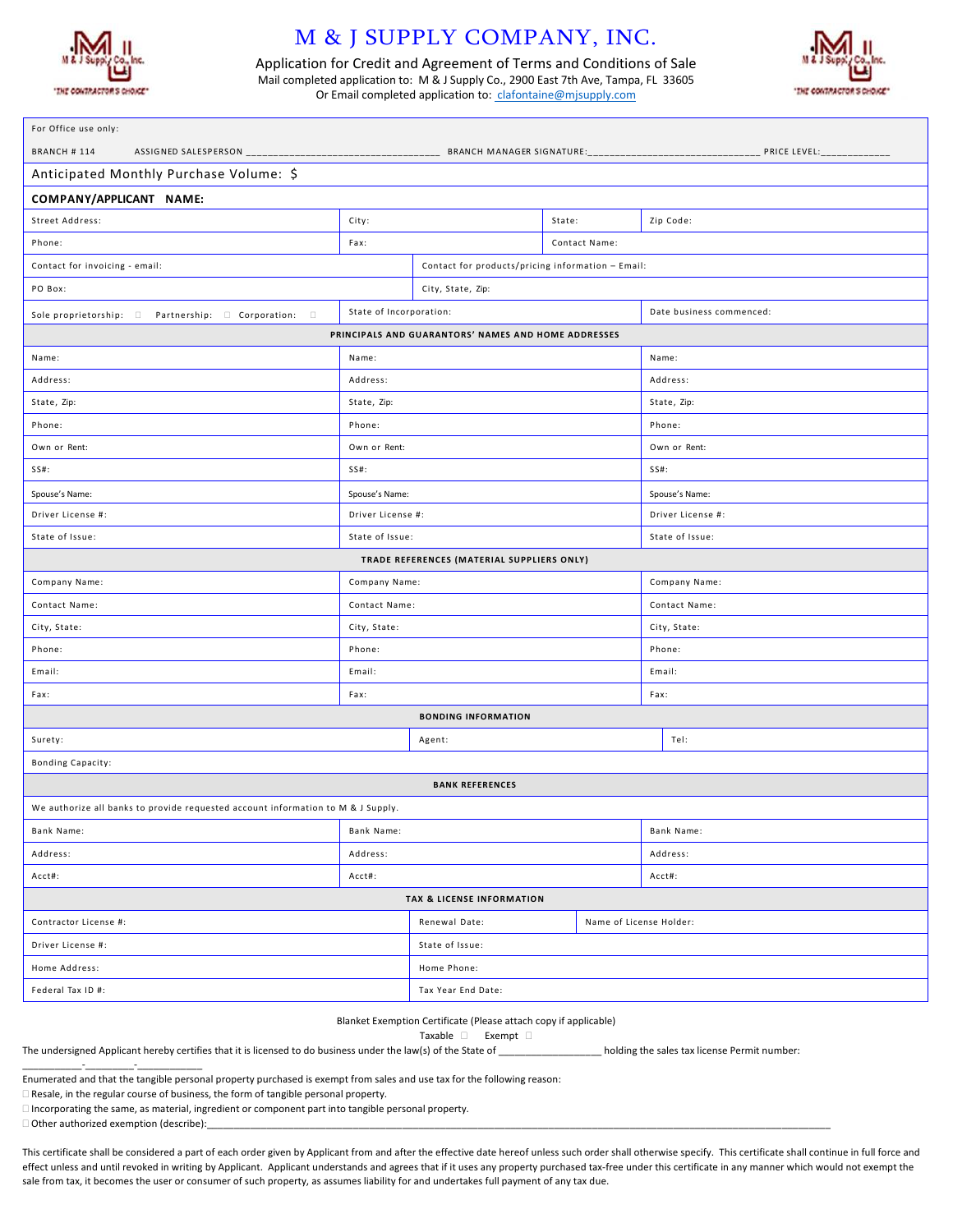

## M & J SUPPLY COMPANY, INC.

Application for Credit and Agreement of Terms and Conditions of Sale Mail completed application to: M & J Supply Co., 2900 East 7th Ave, Tampa, FL 33605 Or Email completed application to: clafontaine@mjsupply.com



| For Office use only:                                                             |                                                   |                                            |               |                          |  |  |
|----------------------------------------------------------------------------------|---------------------------------------------------|--------------------------------------------|---------------|--------------------------|--|--|
| BRANCH #114                                                                      |                                                   |                                            |               |                          |  |  |
| Anticipated Monthly Purchase Volume: \$                                          |                                                   |                                            |               |                          |  |  |
| COMPANY/APPLICANT NAME:                                                          |                                                   |                                            |               |                          |  |  |
| Street Address:                                                                  | City:                                             |                                            | State:        | Zip Code:                |  |  |
| Phone:                                                                           | Fax:                                              |                                            | Contact Name: |                          |  |  |
| Contact for invoicing - email:                                                   | Contact for products/pricing information - Email: |                                            |               |                          |  |  |
| PO Box:                                                                          | City, State, Zip:                                 |                                            |               |                          |  |  |
| Sole proprietorship:<br>Partnership:<br>Corporation:                             | State of Incorporation:                           |                                            |               | Date business commenced: |  |  |
| PRINCIPALS AND GUARANTORS' NAMES AND HOME ADDRESSES                              |                                                   |                                            |               |                          |  |  |
| Name:                                                                            | Name:                                             |                                            |               | Name:                    |  |  |
| Address:                                                                         | Address:                                          |                                            |               | Address:                 |  |  |
| State, Zip:                                                                      | State, Zip:                                       |                                            |               | State, Zip:              |  |  |
| Phone:                                                                           | Phone:                                            |                                            |               | Phone:                   |  |  |
| Own or Rent:                                                                     | Own or Rent:                                      |                                            |               | Own or Rent:             |  |  |
| SS#:                                                                             | $SS#$ :                                           |                                            |               | $SS#$ :                  |  |  |
| Spouse's Name:                                                                   | Spouse's Name:                                    |                                            |               | Spouse's Name:           |  |  |
| Driver License #:                                                                | Driver License #:                                 |                                            |               | Driver License #:        |  |  |
| State of Issue:                                                                  | State of Issue:                                   |                                            |               | State of Issue:          |  |  |
|                                                                                  |                                                   | TRADE REFERENCES (MATERIAL SUPPLIERS ONLY) |               |                          |  |  |
| Company Name:<br>Company Name:<br>Company Name:                                  |                                                   |                                            |               |                          |  |  |
| Contact Name:                                                                    | Contact Name:                                     |                                            |               | Contact Name:            |  |  |
| City, State:                                                                     | City, State:                                      |                                            |               | City, State:             |  |  |
| Phone:                                                                           | Phone:                                            |                                            |               | Phone:                   |  |  |
| Email:                                                                           | Email:                                            |                                            |               | Email:                   |  |  |
| Fax:                                                                             | Fax:                                              |                                            |               | Fax:                     |  |  |
| <b>BONDING INFORMATION</b>                                                       |                                                   |                                            |               |                          |  |  |
| Surety:                                                                          | Agent:                                            |                                            |               | Tel:                     |  |  |
| <b>Bonding Capacity:</b>                                                         |                                                   |                                            |               |                          |  |  |
| <b>BANK REFERENCES</b>                                                           |                                                   |                                            |               |                          |  |  |
| We authorize all banks to provide requested account information to M & J Supply. |                                                   |                                            |               |                          |  |  |
| Bank Name:                                                                       | Bank Name:                                        |                                            |               | Bank Name:               |  |  |
| Address:                                                                         | Address:                                          |                                            |               | Address:                 |  |  |
| Acct#:                                                                           | Acct#:                                            |                                            |               | Acct#:                   |  |  |
| <b>TAX &amp; LICENSE INFORMATION</b>                                             |                                                   |                                            |               |                          |  |  |
| Contractor License #:                                                            |                                                   | Renewal Date:<br>Name of License Holder:   |               |                          |  |  |
| Driver License #:                                                                |                                                   | State of Issue:                            |               |                          |  |  |
| Home Address:                                                                    |                                                   | Home Phone:                                |               |                          |  |  |
| Federal Tax ID #:                                                                |                                                   | Tax Year End Date:                         |               |                          |  |  |

Blanket Exemption Certificate (Please attach copy if applicable)

Taxable Exempt

The undersigned Applicant hereby certifies that it is licensed to do business under the law(s) of the State of \_\_\_\_\_\_\_\_\_\_\_\_\_\_\_\_\_\_\_ holding the sales tax license Permit number:

Enumerated and that the tangible personal property purchased is exempt from sales and use tax for the following reason:

Resale, in the regular course of business, the form of tangible personal property.

Incorporating the same, as material, ingredient or component part into tangible personal property.

Other authorized exemption (describe):

\_\_\_\_\_\_\_\_\_\_\_-\_\_\_\_\_\_\_\_\_-\_\_\_\_\_\_\_\_\_\_\_\_

This certificate shall be considered a part of each order given by Applicant from and after the effective date hereof unless such order shall otherwise specify. This certificate shall continue in full force and effect unless and until revoked in writing by Applicant. Applicant understands and agrees that if it uses any property purchased tax-free under this certificate in any manner which would not exempt the sale from tax, it becomes the user or consumer of such property, as assumes liability for and undertakes full payment of any tax due.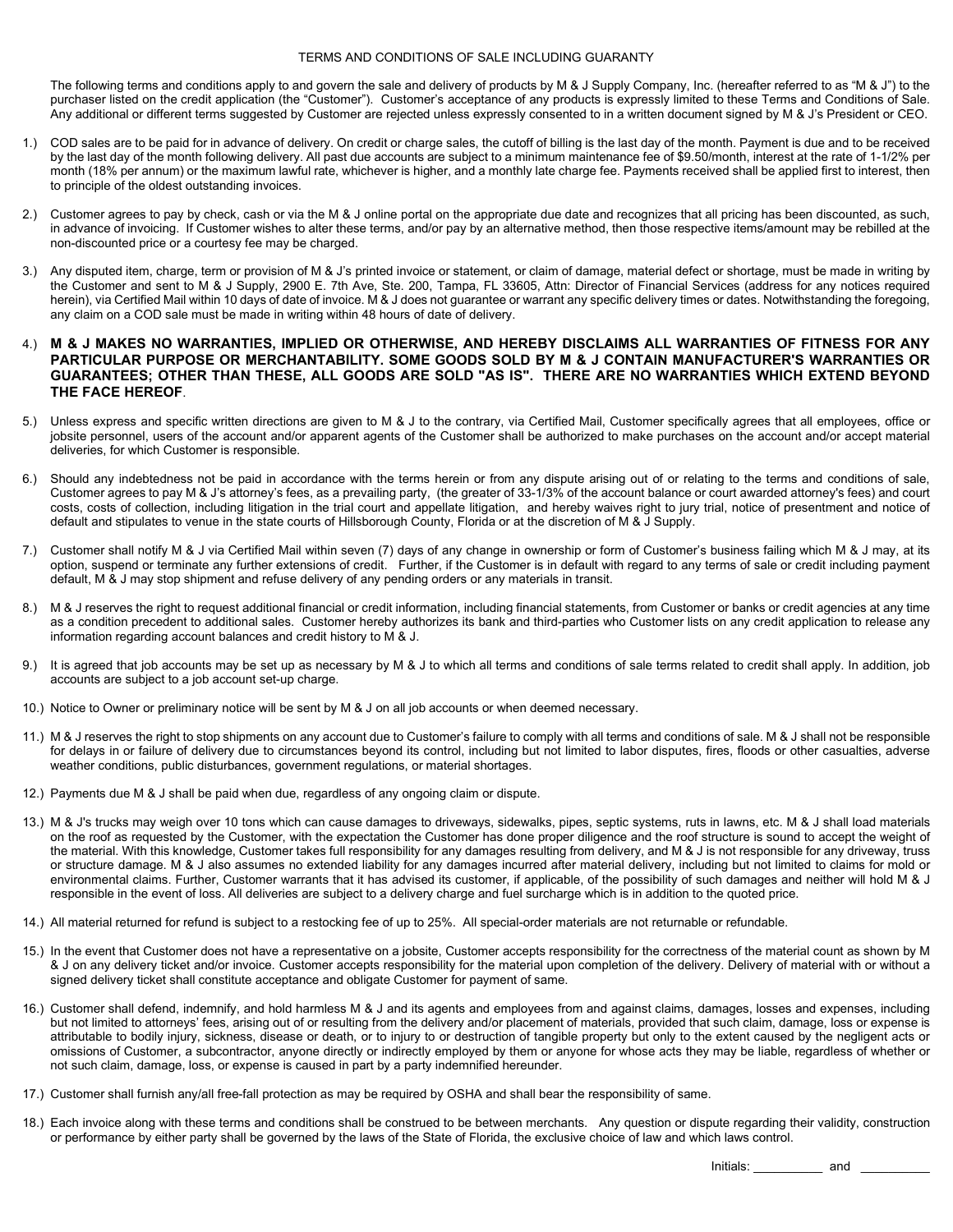## TERMS AND CONDITIONS OF SALE INCLUDING GUARANTY

The following terms and conditions apply to and govern the sale and delivery of products by M & J Supply Company, Inc. (hereafter referred to as "M & J") to the purchaser listed on the credit application (the "Customer"). Customer's acceptance of any products is expressly limited to these Terms and Conditions of Sale. Any additional or different terms suggested by Customer are rejected unless expressly consented to in a written document signed by M & J's President or CEO.

- 1.) COD sales are to be paid for in advance of delivery. On credit or charge sales, the cutoff of billing is the last day of the month. Payment is due and to be received by the last day of the month following delivery. All past due accounts are subject to a minimum maintenance fee of \$9.50/month, interest at the rate of 1-1/2% per month (18% per annum) or the maximum lawful rate, whichever is higher, and a monthly late charge fee. Payments received shall be applied first to interest, then to principle of the oldest outstanding invoices.
- 2.) Customer agrees to pay by check, cash or via the M & J online portal on the appropriate due date and recognizes that all pricing has been discounted, as such, in advance of invoicing. If Customer wishes to alter these terms, and/or pay by an alternative method, then those respective items/amount may be rebilled at the non-discounted price or a courtesy fee may be charged.
- 3.) Any disputed item, charge, term or provision of M & J's printed invoice or statement, or claim of damage, material defect or shortage, must be made in writing by the Customer and sent to M & J Supply, 2900 E. 7th Ave, Ste. 200, Tampa, FL 33605, Attn: Director of Financial Services (address for any notices required herein), via Certified Mail within 10 days of date of invoice. M & J does not guarantee or warrant any specific delivery times or dates. Notwithstanding the foregoing, any claim on a COD sale must be made in writing within 48 hours of date of delivery.
- 4.) **M & J MAKES NO WARRANTIES, IMPLIED OR OTHERWISE, AND HEREBY DISCLAIMS ALL WARRANTIES OF FITNESS FOR ANY PARTICULAR PURPOSE OR MERCHANTABILITY. SOME GOODS SOLD BY M & J CONTAIN MANUFACTURER'S WARRANTIES OR GUARANTEES; OTHER THAN THESE, ALL GOODS ARE SOLD "AS IS". THERE ARE NO WARRANTIES WHICH EXTEND BEYOND THE FACE HEREOF**.
- 5.) Unless express and specific written directions are given to M & J to the contrary, via Certified Mail, Customer specifically agrees that all employees, office or jobsite personnel, users of the account and/or apparent agents of the Customer shall be authorized to make purchases on the account and/or accept material deliveries, for which Customer is responsible.
- 6.) Should any indebtedness not be paid in accordance with the terms herein or from any dispute arising out of or relating to the terms and conditions of sale, Customer agrees to pay M & J's attorney's fees, as a prevailing party, (the greater of 33-1/3% of the account balance or court awarded attorney's fees) and court costs, costs of collection, including litigation in the trial court and appellate litigation, and hereby waives right to jury trial, notice of presentment and notice of default and stipulates to venue in the state courts of Hillsborough County, Florida or at the discretion of M & J Supply.
- 7.) Customer shall notify M & J via Certified Mail within seven (7) days of any change in ownership or form of Customer's business failing which M & J may, at its option, suspend or terminate any further extensions of credit. Further, if the Customer is in default with regard to any terms of sale or credit including payment default, M & J may stop shipment and refuse delivery of any pending orders or any materials in transit.
- 8.) M & J reserves the right to request additional financial or credit information, including financial statements, from Customer or banks or credit agencies at any time as a condition precedent to additional sales. Customer hereby authorizes its bank and third-parties who Customer lists on any credit application to release any information regarding account balances and credit history to M & J.
- 9.) It is agreed that job accounts may be set up as necessary by M & J to which all terms and conditions of sale terms related to credit shall apply. In addition, job accounts are subject to a job account set-up charge.
- 10.) Notice to Owner or preliminary notice will be sent by M & J on all job accounts or when deemed necessary.
- 11.) M & J reserves the right to stop shipments on any account due to Customer's failure to comply with all terms and conditions of sale. M & J shall not be responsible for delays in or failure of delivery due to circumstances beyond its control, including but not limited to labor disputes, fires, floods or other casualties, adverse weather conditions, public disturbances, government regulations, or material shortages.
- 12.) Payments due M & J shall be paid when due, regardless of any ongoing claim or dispute.
- 13.) M & J's trucks may weigh over 10 tons which can cause damages to driveways, sidewalks, pipes, septic systems, ruts in lawns, etc. M & J shall load materials on the roof as requested by the Customer, with the expectation the Customer has done proper diligence and the roof structure is sound to accept the weight of the material. With this knowledge, Customer takes full responsibility for any damages resulting from delivery, and M & J is not responsible for any driveway, truss or structure damage. M & J also assumes no extended liability for any damages incurred after material delivery, including but not limited to claims for mold or environmental claims. Further, Customer warrants that it has advised its customer, if applicable, of the possibility of such damages and neither will hold M & J responsible in the event of loss. All deliveries are subject to a delivery charge and fuel surcharge which is in addition to the quoted price.
- 14.) All material returned for refund is subject to a restocking fee of up to 25%. All special-order materials are not returnable or refundable.
- 15.) In the event that Customer does not have a representative on a jobsite, Customer accepts responsibility for the correctness of the material count as shown by M & J on any delivery ticket and/or invoice. Customer accepts responsibility for the material upon completion of the delivery. Delivery of material with or without a signed delivery ticket shall constitute acceptance and obligate Customer for payment of same.
- 16.) Customer shall defend, indemnify, and hold harmless M & J and its agents and employees from and against claims, damages, losses and expenses, including but not limited to attorneys' fees, arising out of or resulting from the delivery and/or placement of materials, provided that such claim, damage, loss or expense is attributable to bodily injury, sickness, disease or death, or to injury to or destruction of tangible property but only to the extent caused by the negligent acts or omissions of Customer, a subcontractor, anyone directly or indirectly employed by them or anyone for whose acts they may be liable, regardless of whether or not such claim, damage, loss, or expense is caused in part by a party indemnified hereunder.
- 17.) Customer shall furnish any/all free-fall protection as may be required by OSHA and shall bear the responsibility of same.
- 18.) Each invoice along with these terms and conditions shall be construed to be between merchants. Any question or dispute regarding their validity, construction or performance by either party shall be governed by the laws of the State of Florida, the exclusive choice of law and which laws control.

 $Initials:$   $\frac{1}{s}$  and  $\frac{1}{s}$